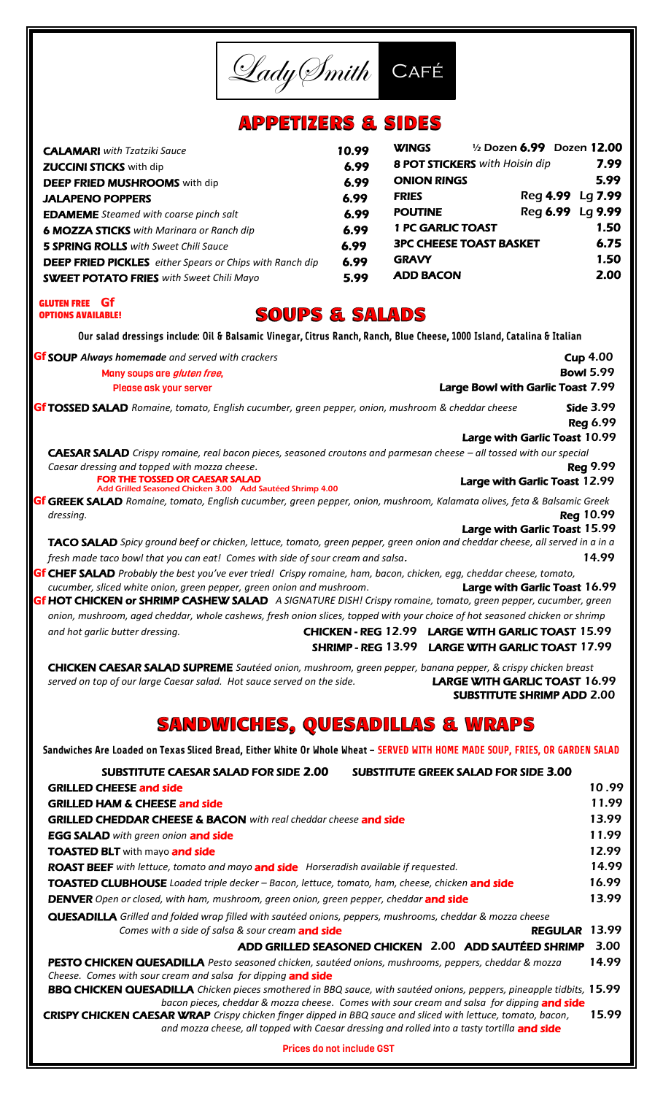LadySmith Café **APPETIZERS & SIDES** WINGS ½ Dozen 6.99 Dozen 12.00 CALAMARI *with Tzatziki Sauce* 10.99 8 **POT STICKERS** with Hoisin dip **7.99 ZUCCINI STICKS** with dip 6.99 ONION RINGS 5.99 **DEEP FRIED MUSHROOMS** with dip 6.99 FRIES Reg 4.99 Lg 7.99 JALAPENO POPPERS 6.99 POUTINE Reg 6.99 Lg 9.99 **EDAMEME** *Steamed with coarse pinch salt* 6.99 1 PC GARLIC TOAST 1.50 **6 MOZZA STICKS** with Marinara or Ranch dip 6.99 3PC CHEESE TOAST BASKET 6.75 **5 SPRING ROLLS** with Sweet Chili Sauce 6.99 GRAVY 1.50 **DEEP FRIED PICKLES** either Spears or Chips with Ranch dip 6.99 ADD BACON 2.00 **SWEET POTATO FRIES** with Sweet Chili Mayo 5.99 GLUTEN FREE **Gf SOUPS & SALADS** OPTIONS AVAILABLE!Our salad dressings include: Oil & Balsamic Vinegar, Citrus Ranch, Ranch, Blue Cheese, 1000 Island, Catalina & Italian **Gf** SOUP Always homemade and served with crackers **Cup 4.00** and **Cup 4.00 Cup 4.00 Bowl 5.99** Many soups are *gluten free*, Large Bowl with Garlic Toast 7.99 Please ask your server Gf TOSSED SALAD Romaine, tomato, English cucumber, green pepper, onion, mushroom & cheddar cheese **Side 3.99**  Reg 6.99 Large with Garlic Toast 10.99 CAESAR SALAD *Crispy romaine, real bacon pieces, seasoned croutons and parmesan cheese – all tossed with our special Caesar dressing and topped with mozza cheese.* And the set of the set of the set of the set of the set of the set of the set of the set of the set of the set of the set of the set of the set of the set of the set of the s Large with Garlic Toast 12.99 FOR THE TOSSED OR CAESAR SALAD Add Grilled Seasoned Chicken 3.00 Add Sautéed Shrimp 4.00 GREEK SALAD *Romaine, tomato, English cucumber, green pepper, onion, mushroom, Kalamata olives, feta & Balsamic Greek* **Gf** *dressing.* Reg 10.99 Large with Garlic Toast 15.99 TACO SALAD *Spicy ground beef or chicken, lettuce, tomato, green pepper, green onion and cheddar cheese, all served in a in a fresh made taco bowl that you can eat! Comes with side of sour cream and salsa.* 15.1899 11.999 CHEF SALAD *Probably the best you've ever tried! Crispy romaine, ham, bacon, chicken, egg, cheddar cheese, tomato,*  **Gf** *cucumber, sliced white onion, green pepper, green onion and mushroom*. Large with Garlic Toast 16.99 HOT CHICKEN or SHRIMP CASHEW SALAD *A SIGNATURE DISH! Crispy romaine, tomato, green pepper, cucumber, green*  **Gf** *onion, mushroom, aged cheddar, whole cashews, fresh onion slices, topped with your choice of hot seasoned chicken or shrimp and hot garlic butter dressing.* CHICKEN - REG 12.99 LARGE WITH GARLIC TOAST 15.99 SHRIMP - REG 13.99 LARGE WITH GARLIC TOAST 17.99 CHICKEN CAESAR SALAD SUPREME *Sautéed onion, mushroom, green pepper, banana pepper, & crispy chicken breast served on top of our large Caesar salad. Hot sauce served on the side.* LARGE WITH GARLIC TOAST 16.99 SUBSTITUTE SHRIMP ADD 2.00 **SANDWICHES, QUESADILLAS & WRAPS** Sandwiches Are Loaded on Texas Sliced Bread, Either White Or Whole Wheat - SERVED WITH HOME MADE SOUP, FRIES, OR GARDEN SALAD SUBSTITUTE CAESAR SALAD FOR SIDE 2.00 SUBSTITUTE GREEK SALAD FOR SIDE 3.00 GRILLED CHEESE and side 10 .99 GRILLED HAM & CHEESE and side 11.99 GRILLED CHEDDAR CHEESE & BACON *with real cheddar cheese* and side13.99 EGG SALAD *with green onion* and side 11.99 **TOASTED BLT** with mayo **and side** 12.99 ROAST BEEF with lettuce, tomato and mayo and side *Horseradish available if requested*. 14.99 TOASTED CLUBHOUSE *Loaded triple decker – Bacon, lettuce, tomato, ham, cheese, chicken* and side 16.99 **DENVER** Open or closed, with ham, mushroom, green onion, green pepper, cheddar **and side** 13.99 QUESADILLA *Grilled and folded wrap filled with sautéed onions, peppers, mushrooms, cheddar & mozza cheese Comes with a side of salsa & sour cream* **and side** REGULAR 13.99 ADD GRILLED SEASONED CHICKEN 2.00 ADD SAUTÉED SHRIMP 3.00 PESTO CHICKEN QUESADILLA *Pesto seasoned chicken, sautéed onions, mushrooms, peppers, cheddar & mozza* 14.99 *Cheese. Comes with sour cream and salsa for dipping* and side BBQ CHICKEN QUESADILLA *Chicken pieces smothered in BBQ sauce, with sautéed onions, peppers, pineapple tidbits,* 15.99  *bacon pieces, cheddar & mozza cheese. Comes with sour cream and salsa for dipping* and side CRISPY CHICKEN CAESAR WRAP *Crispy chicken finger dipped in BBQ sauce and sliced with lettuce, tomato, bacon,* 15.99

*and mozza cheese, all topped with Caesar dressing and rolled into a tasty tortilla <code>and side</code>* Prices do not include GST